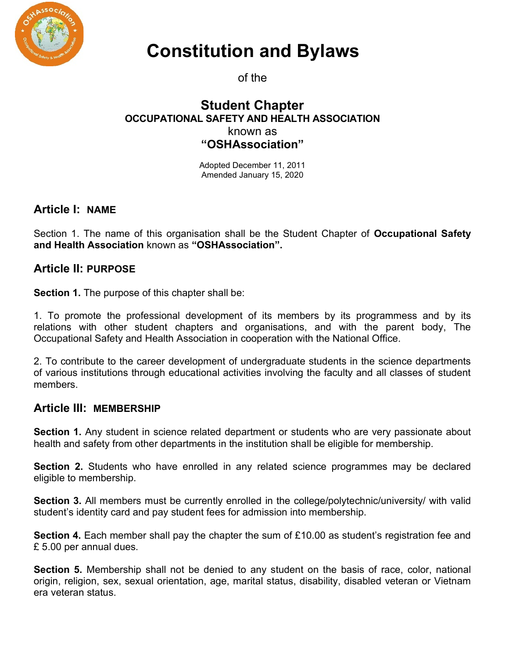

# Constitution and Bylaws

of the

### Student Chapter OCCUPATIONAL SAFETY AND HEALTH ASSOCIATION known as "OSHAssociation"

Adopted December 11, 2011 Amended January 15, 2020

# Article I: NAME

Section 1. The name of this organisation shall be the Student Chapter of Occupational Safety and Health Association known as "OSHAssociation".

# Article II: PURPOSE

Section 1. The purpose of this chapter shall be:

1. To promote the professional development of its members by its programmess and by its relations with other student chapters and organisations, and with the parent body, The Occupational Safety and Health Association in cooperation with the National Office.

2. To contribute to the career development of undergraduate students in the science departments of various institutions through educational activities involving the faculty and all classes of student members.

# Article III: MEMBERSHIP

Section 1. Any student in science related department or students who are very passionate about health and safety from other departments in the institution shall be eligible for membership.

Section 2. Students who have enrolled in any related science programmes may be declared eligible to membership.

Section 3. All members must be currently enrolled in the college/polytechnic/university/ with valid student's identity card and pay student fees for admission into membership.

Section 4. Each member shall pay the chapter the sum of £10.00 as student's registration fee and £ 5.00 per annual dues.

Section 5. Membership shall not be denied to any student on the basis of race, color, national origin, religion, sex, sexual orientation, age, marital status, disability, disabled veteran or Vietnam era veteran status.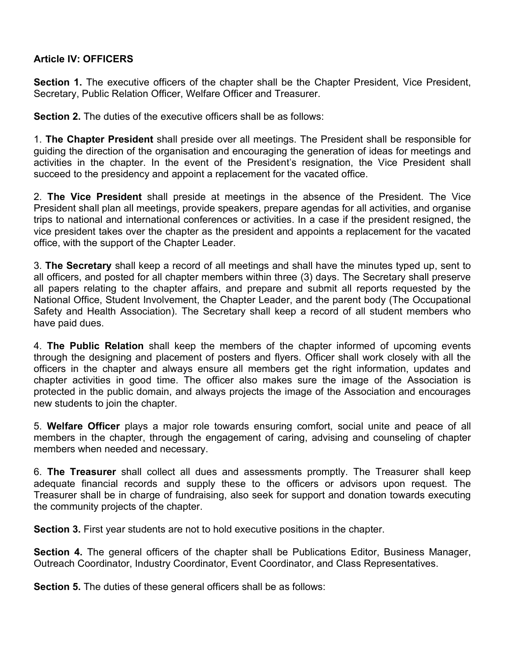#### Article IV: OFFICERS

Section 1. The executive officers of the chapter shall be the Chapter President, Vice President, Secretary, Public Relation Officer, Welfare Officer and Treasurer.

Section 2. The duties of the executive officers shall be as follows:

1. The Chapter President shall preside over all meetings. The President shall be responsible for guiding the direction of the organisation and encouraging the generation of ideas for meetings and activities in the chapter. In the event of the President's resignation, the Vice President shall succeed to the presidency and appoint a replacement for the vacated office.

2. The Vice President shall preside at meetings in the absence of the President. The Vice President shall plan all meetings, provide speakers, prepare agendas for all activities, and organise trips to national and international conferences or activities. In a case if the president resigned, the vice president takes over the chapter as the president and appoints a replacement for the vacated office, with the support of the Chapter Leader.

3. The Secretary shall keep a record of all meetings and shall have the minutes typed up, sent to all officers, and posted for all chapter members within three (3) days. The Secretary shall preserve all papers relating to the chapter affairs, and prepare and submit all reports requested by the National Office, Student Involvement, the Chapter Leader, and the parent body (The Occupational Safety and Health Association). The Secretary shall keep a record of all student members who have paid dues.

4. The Public Relation shall keep the members of the chapter informed of upcoming events through the designing and placement of posters and flyers. Officer shall work closely with all the officers in the chapter and always ensure all members get the right information, updates and chapter activities in good time. The officer also makes sure the image of the Association is protected in the public domain, and always projects the image of the Association and encourages new students to join the chapter.

5. Welfare Officer plays a major role towards ensuring comfort, social unite and peace of all members in the chapter, through the engagement of caring, advising and counseling of chapter members when needed and necessary.

6. The Treasurer shall collect all dues and assessments promptly. The Treasurer shall keep adequate financial records and supply these to the officers or advisors upon request. The Treasurer shall be in charge of fundraising, also seek for support and donation towards executing the community projects of the chapter.

Section 3. First year students are not to hold executive positions in the chapter.

Section 4. The general officers of the chapter shall be Publications Editor, Business Manager, Outreach Coordinator, Industry Coordinator, Event Coordinator, and Class Representatives.

Section 5. The duties of these general officers shall be as follows: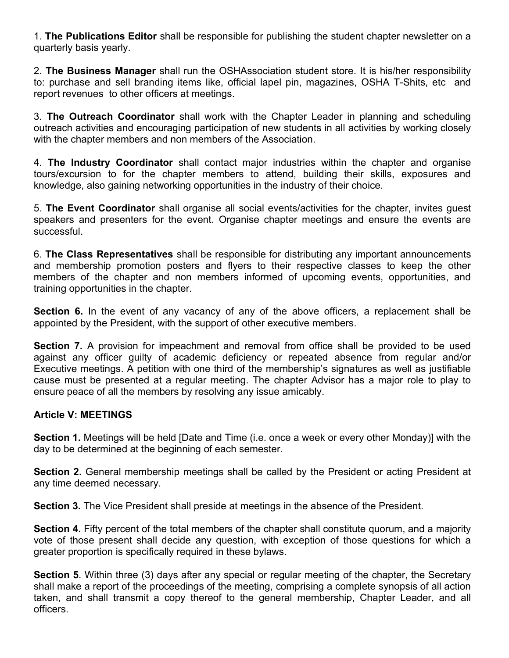1. The Publications Editor shall be responsible for publishing the student chapter newsletter on a quarterly basis yearly.

2. The Business Manager shall run the OSHAssociation student store. It is his/her responsibility to: purchase and sell branding items like, official lapel pin, magazines, OSHA T-Shits, etc and report revenues to other officers at meetings.

3. The Outreach Coordinator shall work with the Chapter Leader in planning and scheduling outreach activities and encouraging participation of new students in all activities by working closely with the chapter members and non members of the Association.

4. The Industry Coordinator shall contact major industries within the chapter and organise tours/excursion to for the chapter members to attend, building their skills, exposures and knowledge, also gaining networking opportunities in the industry of their choice.

5. The Event Coordinator shall organise all social events/activities for the chapter, invites guest speakers and presenters for the event. Organise chapter meetings and ensure the events are successful.

6. The Class Representatives shall be responsible for distributing any important announcements and membership promotion posters and flyers to their respective classes to keep the other members of the chapter and non members informed of upcoming events, opportunities, and training opportunities in the chapter.

Section 6. In the event of any vacancy of any of the above officers, a replacement shall be appointed by the President, with the support of other executive members.

Section 7. A provision for impeachment and removal from office shall be provided to be used against any officer guilty of academic deficiency or repeated absence from regular and/or Executive meetings. A petition with one third of the membership's signatures as well as justifiable cause must be presented at a regular meeting. The chapter Advisor has a major role to play to ensure peace of all the members by resolving any issue amicably.

#### Article V: MEETINGS

Section 1. Meetings will be held [Date and Time (i.e. once a week or every other Monday)] with the day to be determined at the beginning of each semester.

Section 2. General membership meetings shall be called by the President or acting President at any time deemed necessary.

Section 3. The Vice President shall preside at meetings in the absence of the President.

Section 4. Fifty percent of the total members of the chapter shall constitute quorum, and a majority vote of those present shall decide any question, with exception of those questions for which a greater proportion is specifically required in these bylaws.

Section 5. Within three (3) days after any special or regular meeting of the chapter, the Secretary shall make a report of the proceedings of the meeting, comprising a complete synopsis of all action taken, and shall transmit a copy thereof to the general membership, Chapter Leader, and all officers.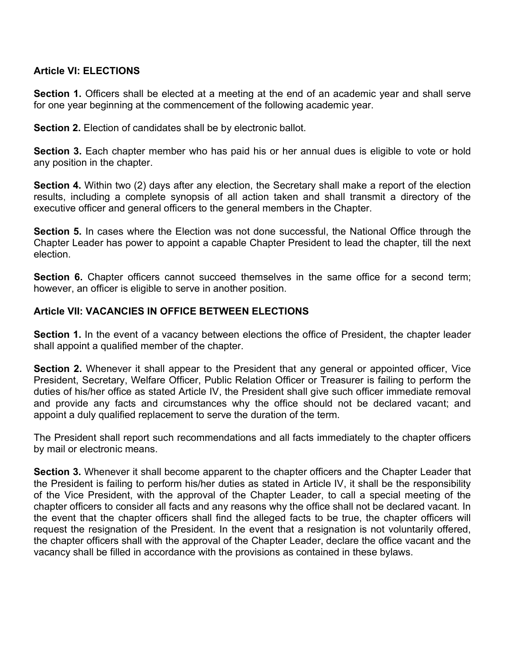#### Article VI: ELECTIONS

Section 1. Officers shall be elected at a meeting at the end of an academic year and shall serve for one year beginning at the commencement of the following academic year.

Section 2. Election of candidates shall be by electronic ballot.

Section 3. Each chapter member who has paid his or her annual dues is eligible to vote or hold any position in the chapter.

Section 4. Within two (2) days after any election, the Secretary shall make a report of the election results, including a complete synopsis of all action taken and shall transmit a directory of the executive officer and general officers to the general members in the Chapter.

**Section 5.** In cases where the Election was not done successful, the National Office through the Chapter Leader has power to appoint a capable Chapter President to lead the chapter, till the next election.

Section 6. Chapter officers cannot succeed themselves in the same office for a second term; however, an officer is eligible to serve in another position.

#### Article VII: VACANCIES IN OFFICE BETWEEN ELECTIONS

Section 1. In the event of a vacancy between elections the office of President, the chapter leader shall appoint a qualified member of the chapter.

Section 2. Whenever it shall appear to the President that any general or appointed officer, Vice President, Secretary, Welfare Officer, Public Relation Officer or Treasurer is failing to perform the duties of his/her office as stated Article IV, the President shall give such officer immediate removal and provide any facts and circumstances why the office should not be declared vacant; and appoint a duly qualified replacement to serve the duration of the term.

The President shall report such recommendations and all facts immediately to the chapter officers by mail or electronic means.

Section 3. Whenever it shall become apparent to the chapter officers and the Chapter Leader that the President is failing to perform his/her duties as stated in Article IV, it shall be the responsibility of the Vice President, with the approval of the Chapter Leader, to call a special meeting of the chapter officers to consider all facts and any reasons why the office shall not be declared vacant. In the event that the chapter officers shall find the alleged facts to be true, the chapter officers will request the resignation of the President. In the event that a resignation is not voluntarily offered, the chapter officers shall with the approval of the Chapter Leader, declare the office vacant and the vacancy shall be filled in accordance with the provisions as contained in these bylaws.